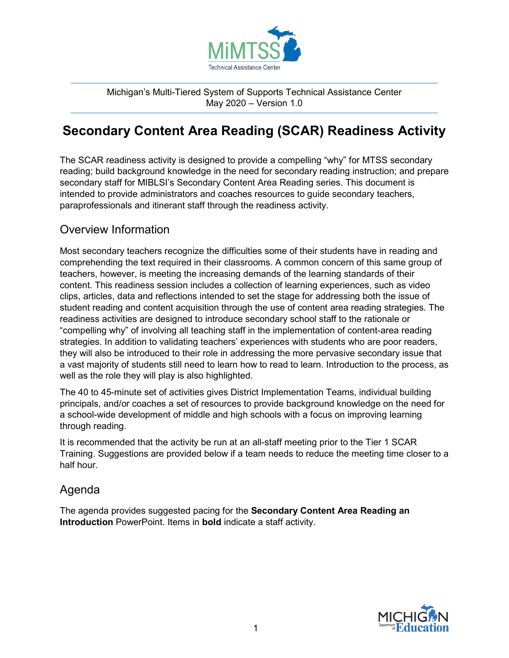

Michigan's Multi-Tiered System of Supports Technical Assistance Center May 2020 – Version 1.0

## **Secondary Content Area Reading (SCAR) Readiness Activity**

The SCAR readiness activity is designed to provide a compelling "why" for MTSS secondary reading; build background knowledge in the need for secondary reading instruction; and prepare secondary staff for MIBLSI's Secondary Content Area Reading series. This document is intended to provide administrators and coaches resources to guide secondary teachers, paraprofessionals and itinerant staff through the readiness activity.

## Overview Information

Most secondary teachers recognize the difficulties some of their students have in reading and comprehending the text required in their classrooms. A common concern of this same group of teachers, however, is meeting the increasing demands of the learning standards of their content. This readiness session includes a collection of learning experiences, such as video clips, articles, data and reflections intended to set the stage for addressing both the issue of student reading and content acquisition through the use of content area reading strategies. The readiness activities are designed to introduce secondary school staff to the rationale or "compelling why" of involving all teaching staff in the implementation of content-area reading strategies. In addition to validating teachers' experiences with students who are poor readers, they will also be introduced to their role in addressing the more pervasive secondary issue that a vast majority of students still need to learn how to read to learn. Introduction to the process, as well as the role they will play is also highlighted.

The 40 to 45-minute set of activities gives District Implementation Teams, individual building principals, and/or coaches a set of resources to provide background knowledge on the need for a school-wide development of middle and high schools with a focus on improving learning through reading.

It is recommended that the activity be run at an all-staff meeting prior to the Tier 1 SCAR Training. Suggestions are provided below if a team needs to reduce the meeting time closer to a half hour.

## Agenda

The agenda provides suggested pacing for the **Secondary Content Area Reading an Introduction** PowerPoint. Items in **bold** indicate a staff activity.